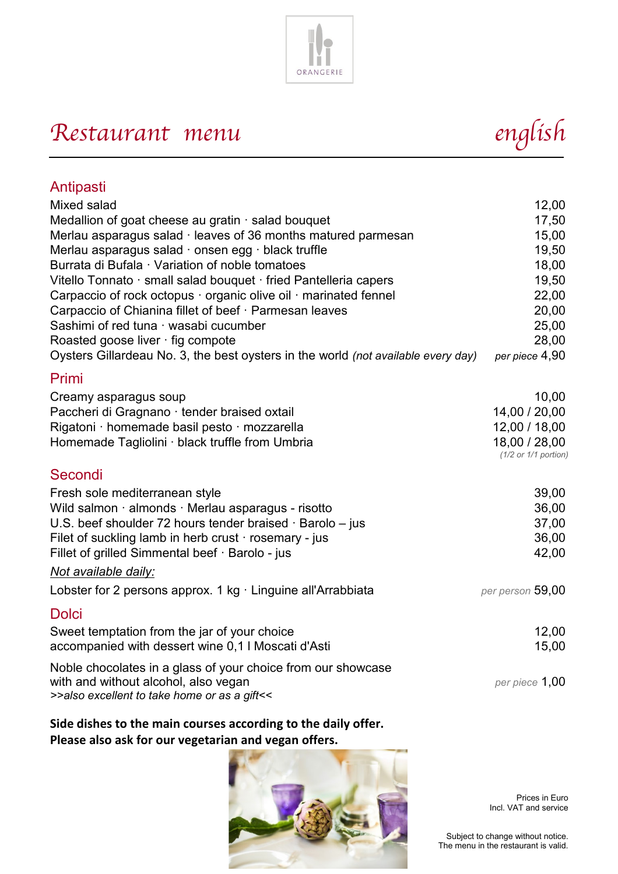

# Restaurant menu<br>
english

| Antipasti                                                                         |                          |
|-----------------------------------------------------------------------------------|--------------------------|
| Mixed salad                                                                       | 12,00                    |
| Medallion of goat cheese au gratin · salad bouquet                                | 17,50                    |
| Merlau asparagus salad $\cdot$ leaves of 36 months matured parmesan               | 15,00                    |
| Merlau asparagus salad · onsen egg · black truffle                                | 19,50                    |
| Burrata di Bufala · Variation of noble tomatoes                                   | 18,00                    |
| Vitello Tonnato · small salad bouquet · fried Pantelleria capers                  | 19,50                    |
| Carpaccio of rock octopus · organic olive oil · marinated fennel                  | 22,00                    |
| Carpaccio of Chianina fillet of beef · Parmesan leaves                            | 20,00                    |
| Sashimi of red tuna · wasabi cucumber                                             | 25,00                    |
| Roasted goose liver · fig compote                                                 | 28,00                    |
| Oysters Gillardeau No. 3, the best oysters in the world (not available every day) | per piece 4,90           |
| Primi                                                                             |                          |
| Creamy asparagus soup                                                             | 10,00                    |
| Paccheri di Gragnano · tender braised oxtail                                      | 14,00 / 20,00            |
| Rigatoni · homemade basil pesto · mozzarella                                      | 12,00 / 18,00            |
| Homemade Tagliolini · black truffle from Umbria                                   | 18,00 / 28,00            |
|                                                                                   | $(1/2$ or $1/1$ portion) |
| Secondi                                                                           |                          |
| Fresh sole mediterranean style                                                    | 39,00                    |
| Wild salmon · almonds · Merlau asparagus - risotto                                | 36,00                    |
| U.S. beef shoulder 72 hours tender braised · Barolo - jus                         | 37,00                    |
| Filet of suckling lamb in herb crust $\cdot$ rosemary - jus                       | 36,00                    |
| Fillet of grilled Simmental beef · Barolo - jus                                   | 42,00                    |
| Not available daily:                                                              |                          |
| Lobster for 2 persons approx. 1 kg · Linguine all'Arrabbiata                      | per person 59,00         |
| Dolci                                                                             |                          |
| Sweet temptation from the jar of your choice                                      | 12,00                    |
| accompanied with dessert wine 0,1 I Moscati d'Asti                                | 15,00                    |
| Noble chocolates in a glass of your choice from our showcase                      |                          |
| with and without alcohol, also vegan                                              | per piece 1,00           |
| >>also excellent to take home or as a gift<<                                      |                          |

#### **Side dishes to the main courses according to the daily offer. Please also ask for our vegetarian and vegan offers.**



Prices in Euro Incl. VAT and service